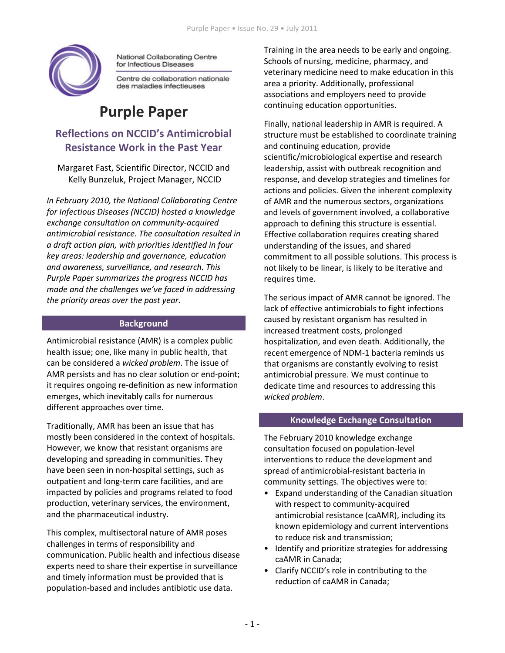

National Collaborating Centre for Infectious Diseases

Centre de collaboration nationale des maladies infectieuses

# **Purple Paper**

# **Reflections on NCCID's Antimicrobial Resistance Work in the Past Year**

Margaret Fast, Scientific Director, NCCID and Kelly Bunzeluk, Project Manager, NCCID

In February 2010, the National Collaborating Centre for Infectious Diseases (NCCID) hosted a knowledge exchange consultation on community-acquired antimicrobial resistance. The consultation resulted in a draft action plan, with priorities identified in four key areas: leadership and governance, education and awareness, surveillance, and research. This Purple Paper summarizes the progress NCCID has made and the challenges we've faced in addressing the priority areas over the past year.

#### **Background**

Antimicrobial resistance (AMR) is a complex public health issue; one, like many in public health, that can be considered a wicked problem. The issue of AMR persists and has no clear solution or end-point; it requires ongoing re-definition as new information emerges, which inevitably calls for numerous different approaches over time.

Traditionally, AMR has been an issue that has mostly been considered in the context of hospitals. However, we know that resistant organisms are developing and spreading in communities. They have been seen in non-hospital settings, such as outpatient and long-term care facilities, and are impacted by policies and programs related to food production, veterinary services, the environment, and the pharmaceutical industry.

This complex, multisectoral nature of AMR poses challenges in terms of responsibility and communication. Public health and infectious disease experts need to share their expertise in surveillance and timely information must be provided that is population-based and includes antibiotic use data.

Training in the area needs to be early and ongoing. Schools of nursing, medicine, pharmacy, and veterinary medicine need to make education in this area a priority. Additionally, professional associations and employers need to provide continuing education opportunities.

Finally, national leadership in AMR is required. A structure must be established to coordinate training and continuing education, provide scientific/microbiological expertise and research leadership, assist with outbreak recognition and response, and develop strategies and timelines for actions and policies. Given the inherent complexity of AMR and the numerous sectors, organizations and levels of government involved, a collaborative approach to defining this structure is essential. Effective collaboration requires creating shared understanding of the issues, and shared commitment to all possible solutions. This process is not likely to be linear, is likely to be iterative and requires time.

The serious impact of AMR cannot be ignored. The lack of effective antimicrobials to fight infections caused by resistant organism has resulted in increased treatment costs, prolonged hospitalization, and even death. Additionally, the recent emergence of NDM-1 bacteria reminds us that organisms are constantly evolving to resist antimicrobial pressure. We must continue to dedicate time and resources to addressing this wicked problem.

#### **Knowledge Exchange Consultation**

The February 2010 knowledge exchange consultation focused on population-level interventions to reduce the development and spread of antimicrobial-resistant bacteria in community settings. The objectives were to:

- Expand understanding of the Canadian situation with respect to community-acquired antimicrobial resistance (caAMR), including its known epidemiology and current interventions to reduce risk and transmission;
- Identify and prioritize strategies for addressing caAMR in Canada;
- Clarify NCCID's role in contributing to the reduction of caAMR in Canada;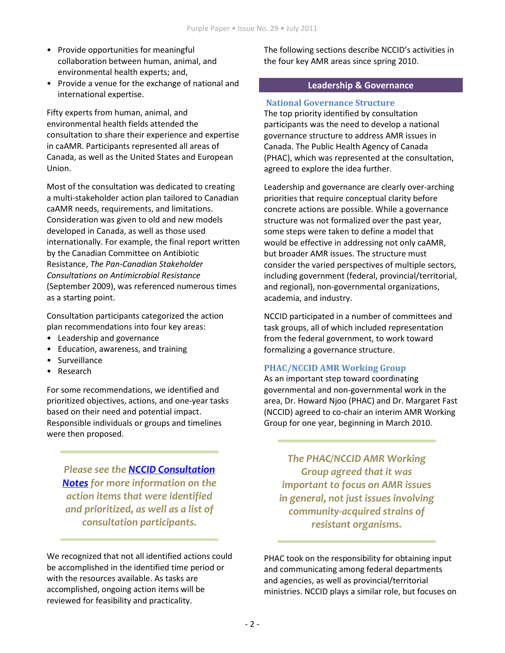- Provide opportunities for meaningful collaboration between human, animal, and environmental health experts; and,
- Provide a venue for the exchange of national and international expertise.

Fifty experts from human, animal, and environmental health fields attended the consultation to share their experience and expertise in caAMR. Participants represented all areas of Canada, as well as the United States and European Union.

Most of the consultation was dedicated to creating a multi-stakeholder action plan tailored to Canadian caAMR needs, requirements, and limitations. Consideration was given to old and new models developed in Canada, as well as those used internationally. For example, the final report written by the Canadian Committee on Antibiotic Resistance, The Pan-Canadian Stakeholder **Consultations on Antimicrobial Resistance** (September 2009), was referenced numerous times as a starting point.

Consultation participants categorized the action plan recommendations into four key areas:

- Leadership and governance
- Education, awareness, and training
- Surveillance
- Research

For some recommendations, we identified and prioritized objectives, actions, and one-year tasks based on their need and potential impact. Responsible individuals or groups and timelines were then proposed.

Please see the NCCID Consultation **Notes** for more information on the action items that were identified and prioritized, as well as a list of consultation participants.

We recognized that not all identified actions could be accomplished in the identified time period or with the resources available. As tasks are accomplished, ongoing action items will be reviewed for feasibility and practicality.

The following sections describe NCCID's activities in the four key AMR areas since spring 2010.

#### **Leadership & Governance**

### **National Governance Structure**

The top priority identified by consultation participants was the need to develop a national governance structure to address AMR issues in Canada. The Public Health Agency of Canada (PHAC), which was represented at the consultation, agreed to explore the idea further.

Leadership and governance are clearly over-arching priorities that require conceptual clarity before concrete actions are possible. While a governance structure was not formalized over the past year, some steps were taken to define a model that would be effective in addressing not only caAMR, but broader AMR issues. The structure must consider the varied perspectives of multiple sectors, including government (federal, provincial/territorial, and regional), non-governmental organizations, academia, and industry.

NCCID participated in a number of committees and task groups, all of which included representation from the federal government, to work toward formalizing a governance structure.

# **PHAC/NCCID AMR Working Group**

As an important step toward coordinating governmental and non-governmental work in the area, Dr. Howard Njoo (PHAC) and Dr. Margaret Fast (NCCID) agreed to co-chair an interim AMR Working Group for one year, beginning in March 2010.

**The PHAC/NCCID AMR Working Group agreed that it was** important to focus on AMR issues in general, not just issues involving community-acquired strains of resistant organisms.

PHAC took on the responsibility for obtaining input and communicating among federal departments and agencies, as well as provincial/territorial ministries. NCCID plays a similar role, but focuses on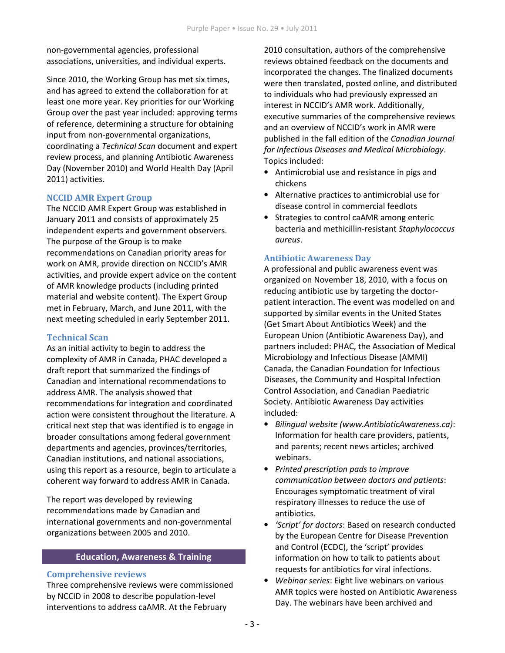non-governmental agencies, professional associations, universities, and individual experts.

Since 2010, the Working Group has met six times, and has agreed to extend the collaboration for at least one more year. Key priorities for our Working Group over the past year included: approving terms of reference, determining a structure for obtaining input from non-governmental organizations, coordinating a Technical Scan document and expert review process, and planning Antibiotic Awareness Day (November 2010) and World Health Day (April 2011) activities.

# **NCCID AMR Expert Group**

The NCCID AMR Expert Group was established in January 2011 and consists of approximately 25 independent experts and government observers. The purpose of the Group is to make recommendations on Canadian priority areas for work on AMR, provide direction on NCCID's AMR activities, and provide expert advice on the content of AMR knowledge products (including printed material and website content). The Expert Group met in February, March, and June 2011, with the next meeting scheduled in early September 2011.

# **Technical Scan**

As an initial activity to begin to address the complexity of AMR in Canada, PHAC developed a draft report that summarized the findings of Canadian and international recommendations to address AMR. The analysis showed that recommendations for integration and coordinated action were consistent throughout the literature. A critical next step that was identified is to engage in broader consultations among federal government departments and agencies, provinces/territories, Canadian institutions, and national associations, using this report as a resource, begin to articulate a coherent way forward to address AMR in Canada.

The report was developed by reviewing recommendations made by Canadian and international governments and non-governmental organizations between 2005 and 2010.

#### **Education, Awareness & Training**

#### **Comprehensive reviews**

Three comprehensive reviews were commissioned by NCCID in 2008 to describe population-level interventions to address caAMR. At the February

2010 consultation, authors of the comprehensive reviews obtained feedback on the documents and incorporated the changes. The finalized documents were then translated, posted online, and distributed to individuals who had previously expressed an interest in NCCID's AMR work. Additionally, executive summaries of the comprehensive reviews and an overview of NCCID's work in AMR were published in the fall edition of the Canadian Journal for Infectious Diseases and Medical Microbiology. Topics included:

- Antimicrobial use and resistance in pigs and chickens
- Alternative practices to antimicrobial use for disease control in commercial feedlots
- Strategies to control caAMR among enteric bacteria and methicillin-resistant Staphylococcus aureus.

# **Antibiotic Awareness Day**

A professional and public awareness event was organized on November 18, 2010, with a focus on reducing antibiotic use by targeting the doctorpatient interaction. The event was modelled on and supported by similar events in the United States (Get Smart About Antibiotics Week) and the European Union (Antibiotic Awareness Day), and partners included: PHAC, the Association of Medical Microbiology and Infectious Disease (AMMI) Canada, the Canadian Foundation for Infectious Diseases, the Community and Hospital Infection Control Association, and Canadian Paediatric Society. Antibiotic Awareness Day activities included:

- Bilingual website (www.AntibioticAwareness.ca): Information for health care providers, patients, and parents; recent news articles; archived webinars.
- Printed prescription pads to improve communication between doctors and patients: Encourages symptomatic treatment of viral respiratory illnesses to reduce the use of antibiotics.
- 'Script' for doctors: Based on research conducted by the European Centre for Disease Prevention and Control (ECDC), the 'script' provides information on how to talk to patients about requests for antibiotics for viral infections.
- Webinar series: Eight live webinars on various AMR topics were hosted on Antibiotic Awareness Day. The webinars have been archived and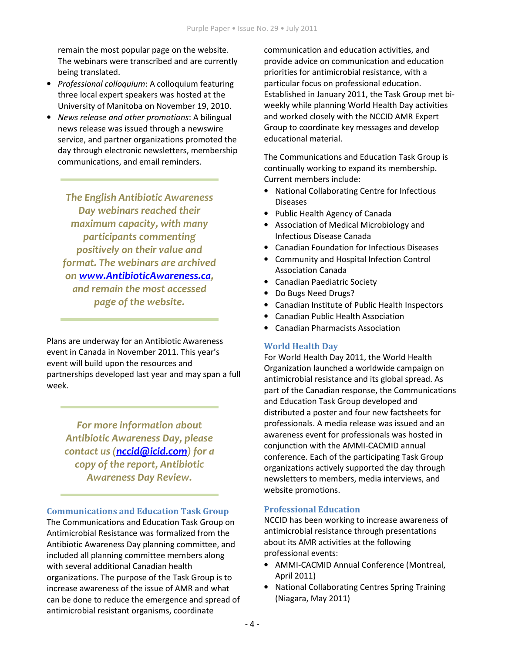remain the most popular page on the website. The webinars were transcribed and are currently being translated.

- Professional colloquium: A colloquium featuring three local expert speakers was hosted at the University of Manitoba on November 19, 2010.
- News release and other promotions: A bilingual news release was issued through a newswire service, and partner organizations promoted the day through electronic newsletters, membership communications, and email reminders.

**The English Antibiotic Awareness** Day webinars reached their maximum capacity, with many participants commenting positively on their value and format. The webinars are archived on www.AntibioticAwareness.ca, and remain the most accessed page of the website.

Plans are underway for an Antibiotic Awareness event in Canada in November 2011. This year's event will build upon the resources and partnerships developed last year and may span a full week.

For more information about **Antibiotic Awareness Day, please** contact us (nccid@icid.com) for a copy of the report, Antibiotic **Awareness Day Review.** 

#### **Communications and Education Task Group**

The Communications and Education Task Group on Antimicrobial Resistance was formalized from the Antibiotic Awareness Day planning committee, and included all planning committee members along with several additional Canadian health organizations. The purpose of the Task Group is to increase awareness of the issue of AMR and what can be done to reduce the emergence and spread of antimicrobial resistant organisms, coordinate

communication and education activities, and provide advice on communication and education priorities for antimicrobial resistance, with a particular focus on professional education. Established in January 2011, the Task Group met biweekly while planning World Health Day activities and worked closely with the NCCID AMR Expert Group to coordinate key messages and develop educational material.

The Communications and Education Task Group is continually working to expand its membership. Current members include:

- National Collaborating Centre for Infectious **Diseases**
- Public Health Agency of Canada
- Association of Medical Microbiology and Infectious Disease Canada
- Canadian Foundation for Infectious Diseases
- Community and Hospital Infection Control **Association Canada**
- Canadian Paediatric Society
- $\bullet$ Do Bugs Need Drugs?
- Canadian Institute of Public Health Inspectors
- Canadian Public Health Association
- Canadian Pharmacists Association

#### **World Health Dav**

For World Health Day 2011, the World Health Organization launched a worldwide campaign on antimicrobial resistance and its global spread. As part of the Canadian response, the Communications and Education Task Group developed and distributed a poster and four new factsheets for professionals. A media release was issued and an awareness event for professionals was hosted in conjunction with the AMMI-CACMID annual conference. Each of the participating Task Group organizations actively supported the day through newsletters to members, media interviews, and website promotions.

# **Professional Education**

NCCID has been working to increase awareness of antimicrobial resistance through presentations about its AMR activities at the following professional events:

- AMMI-CACMID Annual Conference (Montreal, April 2011)
- National Collaborating Centres Spring Training (Niagara, May 2011)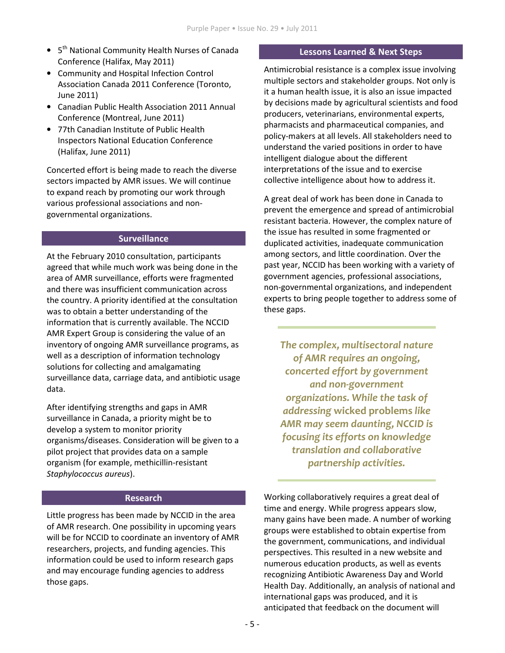- 5<sup>th</sup> National Community Health Nurses of Canada Conference (Halifax, May 2011)
- Community and Hospital Infection Control Association Canada 2011 Conference (Toronto, June 2011)
- Canadian Public Health Association 2011 Annual Conference (Montreal, June 2011)
- 77th Canadian Institute of Public Health **Inspectors National Education Conference** (Halifax, June 2011)

Concerted effort is being made to reach the diverse sectors impacted by AMR issues. We will continue to expand reach by promoting our work through various professional associations and nongovernmental organizations.

# **Surveillance**

At the February 2010 consultation, participants agreed that while much work was being done in the area of AMR surveillance, efforts were fragmented and there was insufficient communication across the country. A priority identified at the consultation was to obtain a better understanding of the information that is currently available. The NCCID AMR Expert Group is considering the value of an inventory of ongoing AMR surveillance programs, as well as a description of information technology solutions for collecting and amalgamating surveillance data, carriage data, and antibiotic usage data.

After identifying strengths and gaps in AMR surveillance in Canada, a priority might be to develop a system to monitor priority organisms/diseases. Consideration will be given to a pilot project that provides data on a sample organism (for example, methicillin-resistant Staphylococcus aureus).

#### **Research**

Little progress has been made by NCCID in the area of AMR research. One possibility in upcoming years will be for NCCID to coordinate an inventory of AMR researchers, projects, and funding agencies. This information could be used to inform research gaps and may encourage funding agencies to address those gaps.

#### **Lessons Learned & Next Steps**

Antimicrobial resistance is a complex issue involving multiple sectors and stakeholder groups. Not only is it a human health issue, it is also an issue impacted by decisions made by agricultural scientists and food producers, veterinarians, environmental experts, pharmacists and pharmaceutical companies, and policy-makers at all levels. All stakeholders need to understand the varied positions in order to have intelligent dialogue about the different interpretations of the issue and to exercise collective intelligence about how to address it.

A great deal of work has been done in Canada to prevent the emergence and spread of antimicrobial resistant bacteria. However, the complex nature of the issue has resulted in some fragmented or duplicated activities, inadequate communication among sectors, and little coordination. Over the past year, NCCID has been working with a variety of government agencies, professional associations, non-governmental organizations, and independent experts to bring people together to address some of these gaps.

The complex, multisectoral nature of AMR requires an ongoing, concerted effort by government and non-government organizations. While the task of addressing wicked problems like AMR may seem daunting, NCCID is focusing its efforts on knowledge translation and collaborative partnership activities.

Working collaboratively requires a great deal of time and energy. While progress appears slow, many gains have been made. A number of working groups were established to obtain expertise from the government, communications, and individual perspectives. This resulted in a new website and numerous education products, as well as events recognizing Antibiotic Awareness Day and World Health Day. Additionally, an analysis of national and international gaps was produced, and it is anticipated that feedback on the document will